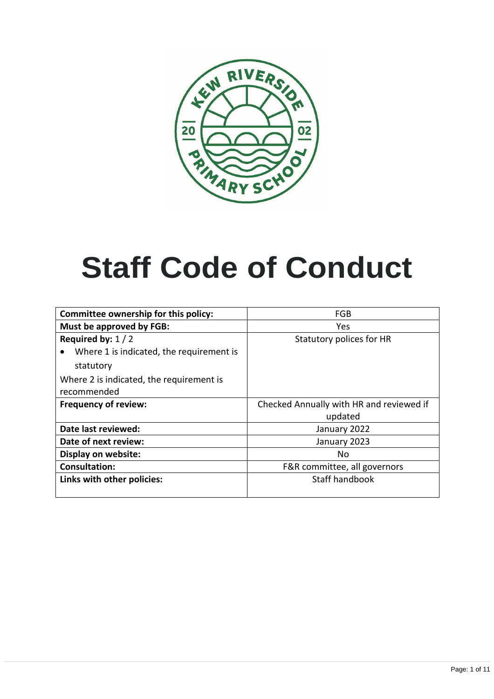

# **Staff Code of Conduct**

| Committee ownership for this policy:          | FGB                                      |  |
|-----------------------------------------------|------------------------------------------|--|
| Must be approved by FGB:                      | Yes                                      |  |
| Required by: $1/2$                            | Statutory polices for HR                 |  |
| Where 1 is indicated, the requirement is<br>٠ |                                          |  |
| statutory                                     |                                          |  |
| Where 2 is indicated, the requirement is      |                                          |  |
| recommended                                   |                                          |  |
| <b>Frequency of review:</b>                   | Checked Annually with HR and reviewed if |  |
|                                               | updated                                  |  |
| Date last reviewed:                           | January 2022                             |  |
| Date of next review:                          | January 2023                             |  |
| Display on website:                           | No                                       |  |
| <b>Consultation:</b>                          | F&R committee, all governors             |  |
|                                               |                                          |  |
| Links with other policies:                    | Staff handbook                           |  |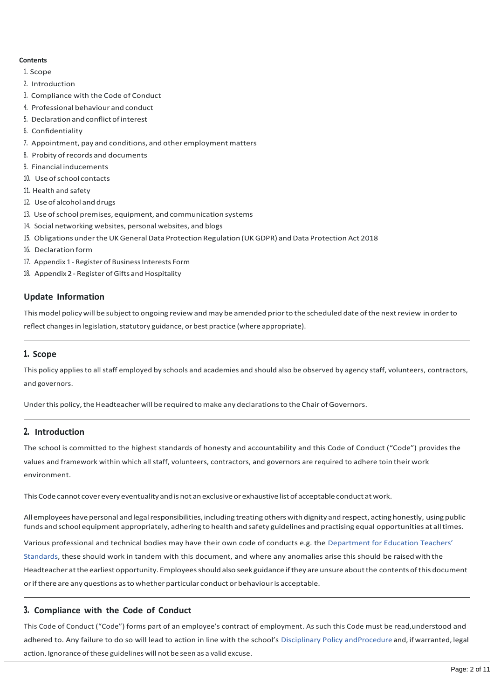# **Contents**

- 1. Scope
- 2. Introduction
- 3. Compliance with the Code of Conduct
- 4. Professional behaviour and conduct
- 5. Declaration and conflict of interest
- 6. Confidentiality
- 7. Appointment, pay and conditions, and other employment matters
- 8. Probity ofrecords and documents
- 9. Financial inducements
- 10. Useofschool contacts
- 11. Health and safety
- 12. Use of alcohol and drugs
- 13. Use ofschool premises, equipment, and communication systems
- 14. Social networking websites, personal websites, and blogs
- 15. Obligations under the UK General Data Protection Regulation (UK GDPR) and Data Protection Act 2018
- 16. Declaration form
- 17. Appendix 1 Register of Business Interests Form
- 18. Appendix 2 Register of Gifts and Hospitality

#### **Update Information**

This model policy will be subject to ongoing review and may be amended prior to the scheduled date of the next review in order to reflect changes in legislation, statutory guidance, or best practice (where appropriate).

# **1. Scope**

This policy applies to all staff employed by schools and academies and should also be observed by agency staff, volunteers, contractors, and governors.

Under this policy, the Headteacher will be required to make any declarations to the Chair of Governors.

# **2. Introduction**

The school is committed to the highest standards of honesty and accountability and this Code of Conduct ("Code") provides the values and framework within which all staff, volunteers, contractors, and governors are required to adhere toin their work environment.

This Code cannot cover every eventuality and is not an exclusive or exhaustive list of acceptable conduct at work.

All employees have personal and legal responsibilities, including treating others with dignity and respect, acting honestly, using public funds and school equipment appropriately, adhering to health and safety guidelines and practising equal opportunities at all times.

[Various professional and technical bodies may have their own code of conducts e.g. the Department for Education](https://www.gov.uk/government/publications/teachers-standards) Teachers' [Standards, these should work in tandem with this document, and where any anomalies arise this should b](https://www.gov.uk/government/publications/teachers-standards)e raisedwith the Headteacher at the earliest opportunity. Employees should also seek guidance if they are unsure about the contents of this document orifthere are any questions asto whether particular conductor behaviouris acceptable.

# **3. Compliance with the Code of Conduct**

This Code of Conduct ("Code") forms part of an employee's contract of employment. As such this Code must be rea[d,understood and](https://schoolshrcooperative.co.uk/school/PolicyDetails?id=57)  [adhered to. Any failure to do so will lead to action in line with the school's](https://schoolshrcooperative.co.uk/school/PolicyDetails?id=57) Disciplinary Policy andProcedure and, if warranted, legal action. Ignorance of these [guidelines](https://schoolshrcooperative.co.uk/school/PolicyDetails?id=57) will not be seen as a valid excuse.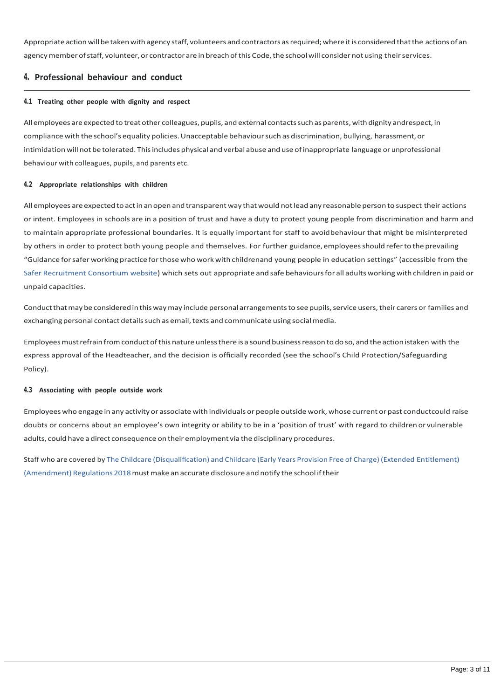Appropriate action will be taken with agency staff, volunteers and contractors as required; where it is considered that the actions of an agency member of staff, volunteer, or contractor are in breach of this Code, the school will consider not using their services.

# **4. Professional behaviour and conduct**

#### **4.1 Treating other people with dignity and respect**

All employees are expected to treat other colleagues, pupils, and external contacts such as parents, with dignity andrespect, in compliance with the school's equality policies. Unacceptable behaviour such as discrimination, bullying, harassment, or intimidation will not be tolerated. Thisincludes physical and verbal abuse and use ofinappropriate language or unprofessional behaviour with colleagues, pupils, and parents etc.

#### **4.2 Appropriate relationships with children**

All employees are expected to act in an open and transparent way that would not lead any reasonable person to suspect their actions or intent. Employees in schools are in a position of trust and have a duty to protect young people from discrimination and harm and to maintain appropriate professional boundaries. It is equally important for staff to avoidbehaviour that might be misinterpreted by others in order to protect both young people and themselves. For further guidance, employeesshould referto the prevailing "Guidance forsafer working practice forthosewho work with childrenand young people in education settings" (accessible from the [Safer Recruitment Consortium website\)](https://saferrecruitmentconsortium.org/) which sets out appropriate and safe behavioursfor all adults working with children in paid or unpaid capacities.

Conduct that may be considered in this way may include personal arrangements to see pupils, service users, their carers or families and exchanging personal contact details such as email, texts and communicate using social media.

Employeesmustrefrainfromconduct ofthis nature unlessthere is a sound businessreason to do so, and the action istaken with the express approval of the Headteacher, and the decision is officially recorded (see the school's Child Protection/Safeguarding Policy).

# **4.3 Associating with people outside work**

Employees who engage in any activity or associate with individuals or people outside work, whose current or past conductcould raise doubts or concerns about an employee's own integrity or ability to be in a 'position of trust' with regard to children or vulnerable adults, could have a direct consequence on their employment via the disciplinary procedures.

Staff who are covered by The Childcare [\(Disqualification\)](https://www.legislation.gov.uk/uksi/2018/794/contents/made) and Childcare (Early Years Provision Free of Charge) (Extended Entitlement) (Amendment) Regulations [2018mustmake](https://www.legislation.gov.uk/uksi/2018/794/contents/made) an accurate disclosure and notify the school iftheir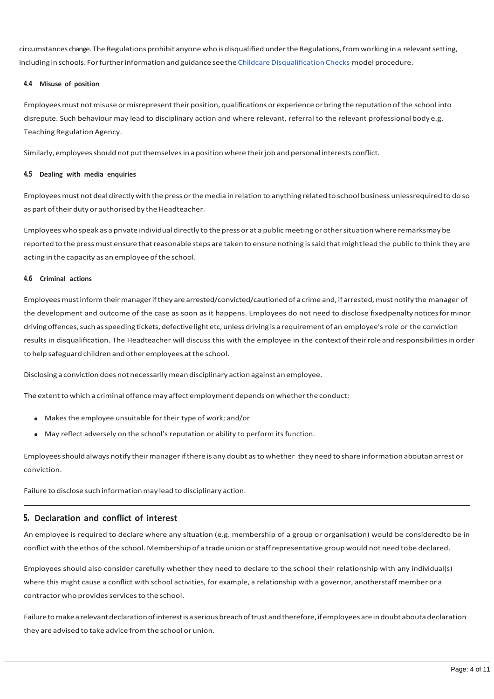circumstances change. The Regulations prohibit anyonewho isdisqualified underthe Regulations,fromworking in a relevantsetting, including in schools. For further information and guidance see the Childcare [Disqualification](https://schoolshrcooperative.co.uk/school/PolicyDetails?id=48) Checks model procedure.

# **4.4 Misuse of position**

Employees must not misuse or misrepresent their position, qualifications or experience or bring the reputation of the school into disrepute. Such behaviour may lead to disciplinary action and where relevant, referral to the relevant professional body e.g. Teaching Regulation Agency.

Similarly, employees should not put themselves in a position where their job and personal interests conflict.

#### **4.5 Dealing with media enquiries**

Employeesmust not deal directlywith the pressorthemedia in relation to anything related to school business unlessrequired to do so as part of their duty or authorised by the Headteacher.

Employees who speak as a private individual directly to the pressor at a publicmeeting or othersituationwhere remarksmay be reported to the press must ensure that reasonable steps are taken to ensure nothing is said that might lead the public to think they are acting in the capacity as an employee of the school.

#### **4.6 Criminal actions**

Employees must inform their manager if they are arrested/convicted/cautioned of a crime and, if arrested, must notify the manager of the development and outcome of the case as soon as it happens. Employees do not need to disclose fixedpenaltynoticesforminor driving offences, such as speeding tickets, defective light etc, unless driving is a requirement of an employee's role or the conviction results in disqualification. The Headteacher will discuss this with the employee in the contextoftheirrole and responsibilitiesin order to help safeguard children and other employees atthe school.

Disclosing a conviction does not necessarily mean disciplinary action against an employee.

The extent to which a criminal offence may affect employment depends on whether the conduct:

- Makes the employee unsuitable for their type of work; and/or
- May reflect adversely on the school's reputation or ability to perform its function.

Employeesshould always notify theirmanagerifthere is any doubt asto whether they need to share information aboutan arrest or conviction.

Failure to disclose such information may lead to disciplinary action.

# **5. Declaration and conflict of interest**

An employee is required to declare where any situation (e.g. membership of a group or organisation) would be consideredto be in conflict with the ethos ofthe school. Membership of a trade union orstaffrepresentative group would not need tobe declared.

Employees should also consider carefully whether they need to declare to the school their relationship with any individual(s) where this might cause a conflict with school activities, for example, a relationship with a governor, anotherstaffmember or a contractor who provides services to the school.

Failure to make a relevant declaration of interest is a serious breach of trust and therefore, if employees are in doubt abouta declaration they are advised to take advice fromthe school or union.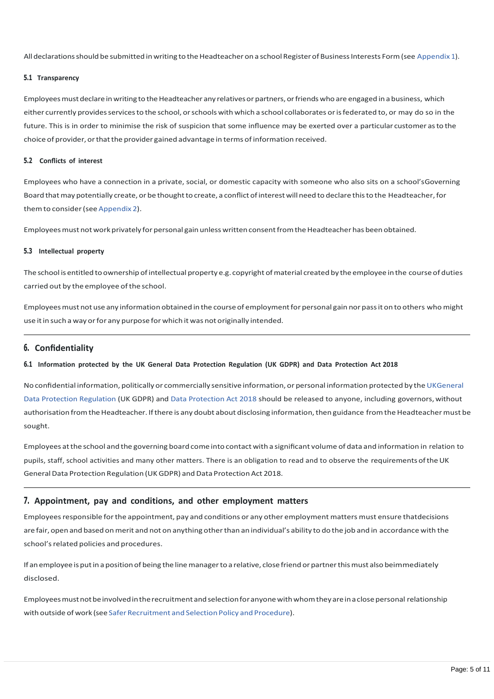All declarations should be submitted in writing to the Headteacher on a school Register of Business Interests Form (see [Appendix](https://schoolshrcooperative.co.uk/school/PolicyDetails?id=51&Appendix-1-Register-of-Business-Interests-Form) 1).

# **5.1 Transparency**

Employees must declare in writing to the Headteacher any relatives or partners, or friends who are engaged in a business, which either currently providesservicesto the school, orschoolswith which a school collaborates orisfederated to, or may do so in the future. This is in order to minimise the risk of suspicion that some influence may be exerted over a particular customer asto the choice of provider, orthatthe provider gained advantage in terms of information received.

#### **5.2 Conflicts of interest**

Employees who have a connection in a private, social, or domestic capacity with someone who also sits on a school'sGoverning Board that may potentially create, or be thought to create, a conflict of interest will need to declare this to the Headteacher, for themto consider(see [Appendix](https://schoolshrcooperative.co.uk/school/PolicyDetails?id=51&Appendix-2-Register-of-Gifts-and-Hospitality) 2).

Employees must not work privately for personal gain unless written consent from the Headteacher has been obtained.

#### **5.3 Intellectual property**

The school is entitled to ownership of intellectual property e.g. copyright of material created by the employee in the course of duties carried out by the employee ofthe school.

Employees must not use any information obtained in the course of employment for personal gain nor pass it on to others who might use it in such a way or for any purpose for which it was not originally intended.

# **6. Confidentiality**

# 6.1 Information protected by the UK General Data Protection Regulation (UK GDPR) and Data Protection Act 2018

No confidential information, politically or commercially sensitive information, or personal information protected by the UKGeneral [Data Protection Regulation \(UK GDPR\) and](https://ico.org.uk/for-organisations/dp-at-the-end-of-the-transition-period/data-protection-now-the-transition-period-has-ended/the-gdpr/) [Data Protection Act 2018 should be released to anyone, including](https://www.legislation.gov.uk/ukpga/2018/12/contents/enacted) governors,without authorisation from the Headteacher. If there is any doubt about disclosing information, then guidance from the Headteacher must be sought.

Employees atthe school and the governing boardcome into contact with a significant volume of data and information in relation to pupils, staff, school activities and many other matters. There is an obligation to read and to observe the requirements oftheUK General Data Protection Regulation (UK GDPR) and Data Protection Act 2018.

# **7. Appointment, pay and conditions, and other employment matters**

Employees responsible for the appointment, pay and conditions or any other employment matters must ensure thatdecisions are fair, open and based on merit and not on anything other than an individual's ability to do the job and in accordance with the school's related policies and procedures.

If an employee is put in a position of being the line manager to a relative, close friend or partner this must also beimmediately disclosed.

Employeesmustnotbeinvolvedintherecruitmentandselectionforanyonewithwhomtheyareinaclosepersonal relationship with outside of work (see Safer Recruitment and Selection Policy and Procedure).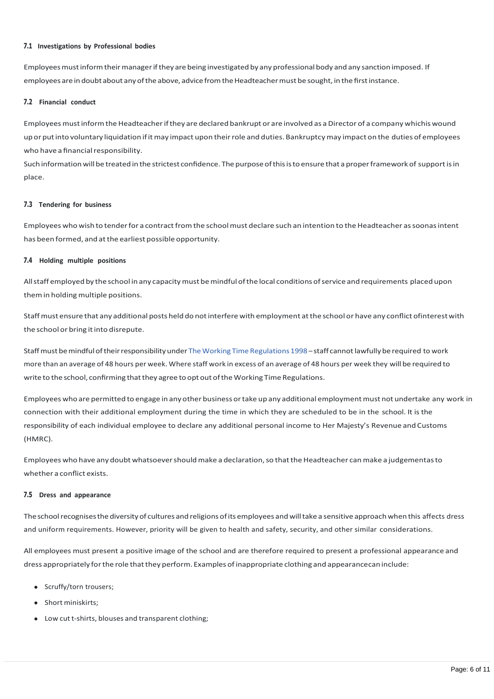#### **7.1 Investigations by Professional bodies**

Employees must inform their manager if they are being investigated by any professional body and any sanction imposed. If employees are in doubt about any of the above, advice from the Headteacher must be sought, in the first instance.

# **7.2 Financial conduct**

Employees must inform the Headteacher if they are declared bankrupt or are involved as a Director of a company whichis wound upor putinto voluntary liquidation ifitmay impact upon theirrole and duties. Bankruptcymay impact on the duties of employees who have a financial responsibility.

Such information will be treated in the strictest confidence. The purpose of this is to ensure that a proper framework of support is in place.

#### **7.3 Tendering for business**

Employees who wish to tender for a contract from the school must declare such an intention to the Headteacher as soonas intent has been formed, and atthe earliest possible opportunity.

#### **7.4 Holding multiple positions**

Allstaff employed by the school in any capacitymust bemindful ofthe local conditionsofservice and requirements placed upon themin holding multiple positions.

Staffmust ensure that any additional posts held do notinterfere with employment atthe school or have any conflict ofinterestwith the schoolor bring itinto disrepute.

Staffmust bemindfuloftheirresponsibilityunder [TheWorking](https://www.legislation.gov.uk/uksi/1998/1833/contents) Time Regulations 1998 – staff cannotlawfully be required to work more than an average of 48 hours per week. Where staff work in excess of an average of 48 hours per week they will be required to write to the school, confirming that they agree to opt out of the Working Time Regulations.

Employees who are permitted to engage in any other business or take up any additional employment must not undertake any work in connection with their additional employment during the time in which they are scheduled to be in the school. It is the responsibility of each individual employee to declare any additional personal income to Her Majesty's Revenue and Customs (HMRC).

Employees who have any doubt whatsoever should make a declaration, so that the Headteacher can make a judgementas to whether a conflict exists.

# **7.5 Dress and appearance**

The school recognises the diversity of cultures and religions of its employees and will take a sensitive approach when this affects dress and uniform requirements. However, priority will be given to health and safety, security, and other similar considerations.

All employees must present a positive image of the school and are therefore required to present a professional appearance and dress appropriately forthe role thatthey perform. Examples ofinappropriate clothing and appearancecaninclude:

- Scruffy/torn trousers;
- Short miniskirts;
- Low cutt-shirts, blouses and transparent clothing;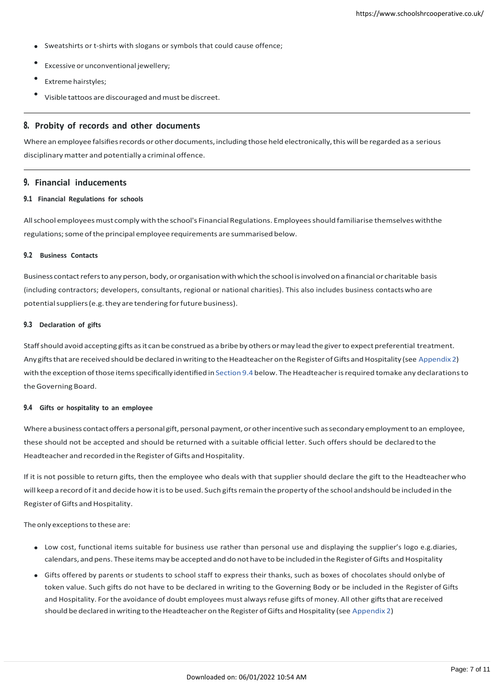- Sweatshirts or t-shirts with slogans or symbols that could cause offence;
- Excessive or unconventional jewellery;
- Extreme hairstyles;
- Visible tattoos are discouraged and must be discreet.

#### **8. Probity of records and other documents**

Where an employee falsifies records or other documents, including those held electronically, this will be regarded as a serious disciplinary matter and potentially a criminal offence.

#### **9. Financial inducements**

#### **9.1 Financial Regulations for schools**

Allschool employeesmust comply with the school's Financial Regulations. Employeesshould familiarise themselves withthe regulations; some of the principal employee requirements are summarised below.

#### **9.2 Business Contacts**

Business contact refers to any person, body, or organisation with which the school is involved on a financial or charitable basis (including contractors; developers, consultants, regional or national charities). This also includes business contactswho are potential suppliers (e.g. they are tendering for future business).

#### **9.3 Declaration of gifts**

Staff should avoid accepting gifts as it can be construed as a bribe by others or may lead the giver to expect preferential treatment. Any gifts that are received should be declared in writing to the Headteacher on the Register of Gifts and Hospitality (see [Appendix](https://schoolshrcooperative.co.uk/school/PolicyDetails?id=51&Appendix-2-Register-of-Gifts-and-Hospitality) 2) with the exception of those items specifically identified in [Section](https://schoolshrcooperative.co.uk/school/PolicyDetails?id=51&Financial-inducements) 9.4 below. The Headteacher is required tomake any declarations to theGoverning Board.

#### **9.4 Gifts or hospitality to an employee**

Where a business contact offers a personal gift, personal payment, or other incentive such as secondary employment to an employee, these should not be accepted and should be returned with a suitable official letter. Such offers should be declared to the Headteacher and recorded in the Register of Gifts and Hospitality.

If it is not possible to return gifts, then the employee who deals with that supplier should declare the gift to the Headteacherwho will keep a record of it and decide how it is to be used. Such gifts remain the property of the school andshould be included in the Register of Gifts and Hospitality.

The only exceptions to these are:

- Low cost, functional items suitable for business use rather than personal use and displaying the supplier's logo e.g.diaries, calendars, and pens. These items may be accepted and do not have to be included in the Register of Gifts and Hospitality
- Gifts offered by parents or students to school staff to express their thanks, such as boxes of chocolates should onlybe of token value. Such gifts do not have to be declared in writing to the Governing Body or be included in the Register of Gifts and Hospitality. For the avoidance of doubt employees must always refuse gifts of money. All other gifts that are received should be declared in writing to the Headteacher on the Register of Gifts and Hospitality (see [Appendix](https://schoolshrcooperative.co.uk/school/PolicyDetails?id=51&Appendix-2-Register-of-Gifts-and-Hospitality) 2)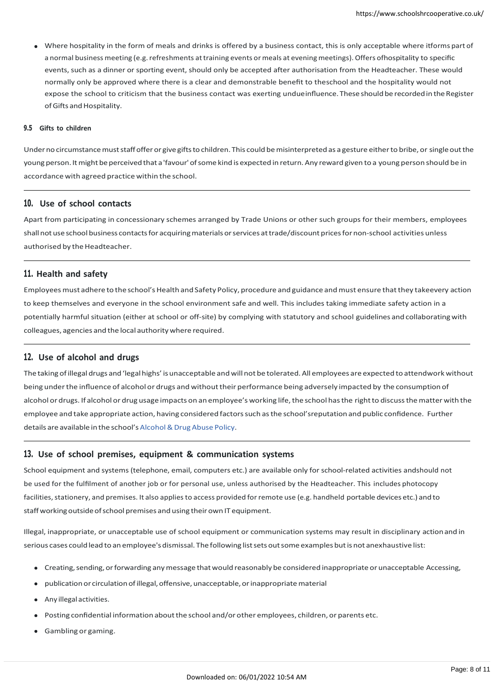Where hospitality in the form of meals and drinks is offered by a business contact, this is only acceptable where itforms part of a normal business meeting (e.g. refreshments at training events or meals at evening meetings). Offers ofhospitality to specific events, such as a dinner or sporting event, should only be accepted after authorisation from the Headteacher. These would normally only be approved where there is a clear and demonstrable benefit to theschool and the hospitality would not expose the school to criticism that the business contact was exerting undueinfluence. These should be recorded in the Register of Gifts and Hospitality.

#### **9.5 Gifts to children**

Under no circumstance must staff offer or give gifts to children. This could be misinterpreted as a gesture either to bribe, or single out the young person. It might be perceived that a 'favour' of some kind is expected in return. Any reward given to a young person should be in accordance with agreed practice within the school.

# **10. Use of school contacts**

Apart from participating in concessionary schemes arranged by Trade Unions or other such groups for their members, employees shall not use school business contacts for acquiring materials or services at trade/discount prices for non-school activities unless authorised by the Headteacher.

#### **11. Health and safety**

Employees must adhere to the school's Health and Safety Policy, procedure and guidance and must ensure that they takeevery action to keep themselves and everyone in the school environment safe and well. This includes taking immediate safety action in a potentially harmful situation (either at school or off-site) by complying with statutory and school guidelines and collaborating with colleagues, agencies and the local authoritywhere required.

# **12. Use of alcohol and drugs**

The taking ofillegal drugs and'legalhighs' isunacceptable andwill not be tolerated.All employees are expected to attendwork without being under the influence of alcohol or drugs and without their performance being adversely impacted by the consumption of alcohol or drugs. If alcohol or drug usage impacts on an employee's working life, the school has the right to discuss the matter with the employee and take appropriate action, having considered factorssuch asthe school'sreputation and public confidence. Further details are available in the school's Alcohol & Drug Abuse Policy.

# **13. Use of school premises, equipment & communication systems**

School equipment and systems (telephone, email, computers etc.) are available only for school-related activities andshould not be used for the fulfilment of another job or for personal use, unless authorised by the Headteacher. This includes photocopy facilities, stationery, and premises. It also applies to access provided for remote use (e.g. handheld portable devices etc.) and to staff working outside of school premises and using their own IT equipment.

Illegal, inappropriate, or unacceptable use of school equipment or communication systems may result in disciplinary actionand in serious cases could lead to an employee's dismissal. The following list sets out some examples but is not anexhaustive list:

- Creating,sending,orforwarding anymessage thatwould reasonably be considered inappropriate or unacceptable Accessing,
- publication or circulation of illegal, offensive, unacceptable, or inappropriate material
- Any illegal activities.
- Posting confidential information about the school and/or other employees, children, or parents etc.
- Gambling or gaming.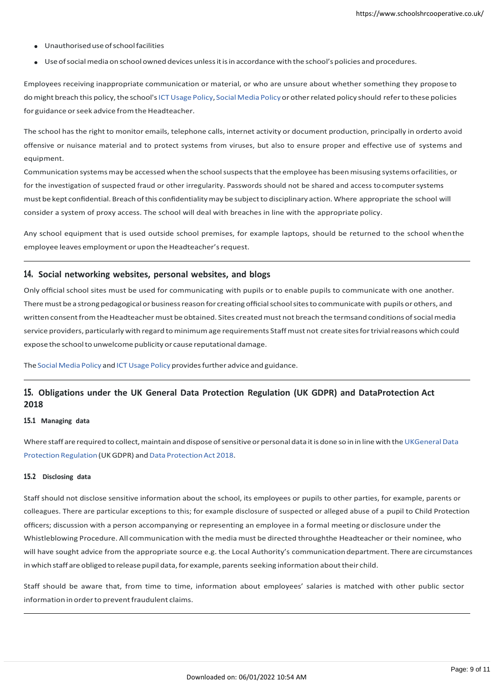- Unauthoriseduseofschoolfacilities
- Useofsocialmedia onschoolowned devices unlessitisin accordance with the school's policies and procedures.

Employees receiving inappropriate communication or material, or who are unsure about whether something they propose to do might breach this policy, the school's ICT Usage Policy, Social Media Policy or other related policy should refer to these policies for guidance or seek advice from the Headteacher.

The school has the right to monitor emails, telephone calls, internet activity or document production, principally in orderto avoid offensive or nuisance material and to protect systems from viruses, but also to ensure proper and effective use of systems and equipment.

Communication systemsmay be accessedwhen the schoolsuspectsthatthe employee has beenmisusing systems orfacilities, or for the investigation of suspected fraud or other irregularity. Passwords should not be shared and access tocomputersystems must be kept confidential. Breach ofthis confidentialitymay be subjectto disciplinary action.Where appropriate the school will consider a system of proxy access. The school will deal with breaches in line with the appropriate policy.

Any school equipment that is used outside school premises, for example laptops, should be returned to the school whenthe employee leaves employment or upon the Headteacher's request.

#### **14. Social networking websites, personal websites, and blogs**

Only official school sites must be used for communicating with pupils or to enable pupils to communicate with one another. There must be a strong pedagogical or business reason for creating official school sites to communicate with pupils or others, and written consent from the Headteacher must be obtained. Sites created must not breach the termsand conditions of social media service providers, particularly with regard tominimumage requirements Staffmust not create sitesfortrivialreasons which could expose the school to unwelcome publicity or cause reputational damage.

The Social Media Policy and ICT Usage Policy provides further advice and guidance.

# **15. Obligations under the UK General Data Protection Regulation (UK GDPR) and DataProtection Act 2018**

# **15.1 Managing data**

Where staff are required to collect, maintain and dispose of sensitive or personal data it is done so in in line with the UKGeneral Data Protection Regulation (UK GDPR) and Data Protection Act 201[8.](https://www.legislation.gov.uk/ukpga/2018/12/contents)

#### **15.2 Disclosing data**

Staff should not disclose sensitive information about the school, its employees or pupils to other parties, for example, parents or colleagues. There are particular exceptions to this; for example disclosure of suspected or alleged abuse of a pupil to Child Protection officers; discussion with a person accompanying or representing an employee in a formal meeting or disclosure under the Whistleblowing Procedure. All communication with the media must be directed throughthe Headteacher or their nominee, who will have sought advice from the appropriate source e.g. the Local Authority's communicationdepartment. There are circumstances in which staff are obliged to release pupil data, for example, parents seeking information about their child.

Staff should be aware that, from time to time, information about employees' salaries is matched with other public sector information in order to prevent fraudulent claims.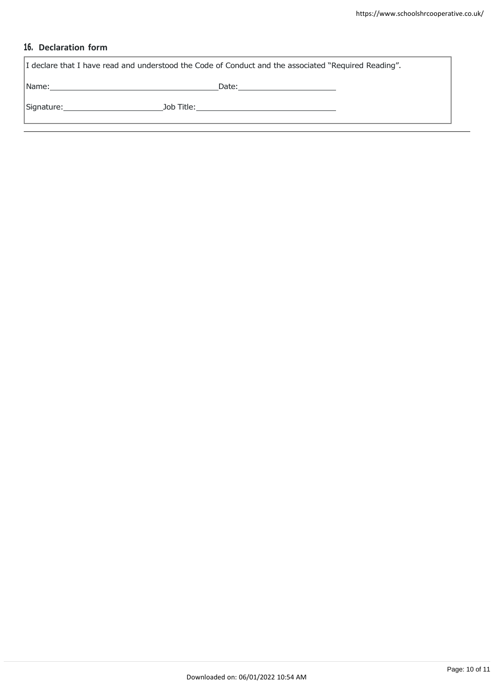# **16. Declaration form**

| I declare that I have read and understood the Code of Conduct and the associated "Required Reading".           |                                              |  |  |  |
|----------------------------------------------------------------------------------------------------------------|----------------------------------------------|--|--|--|
| Name: 2008 - 2008 - 2010 - 2010 - 2011 - 2012 - 2012 - 2012 - 2014 - 2014 - 2014 - 2014 - 2014 - 2014 - 2014 - |                                              |  |  |  |
| Signature: ____________________                                                                                | Job Title: _________________________________ |  |  |  |
|                                                                                                                |                                              |  |  |  |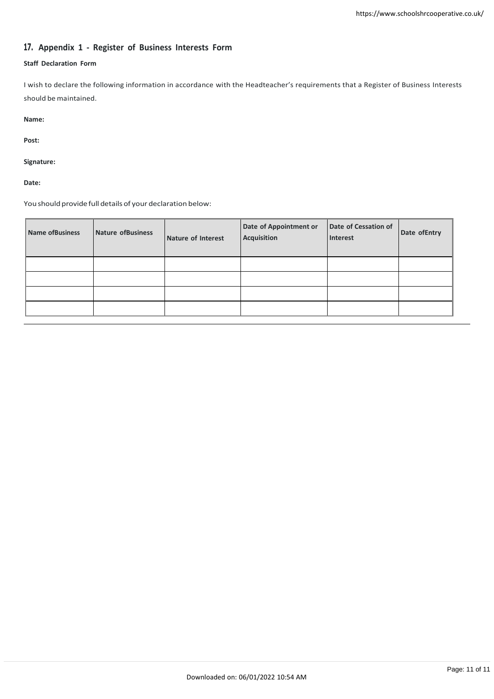# **17. Appendix 1 - Register of Business Interests Form**

# **Staff Declaration Form**

I wish to declare the following information in accordance with the Headteacher's requirements that a Register of Business Interests should be maintained.

**Name:**

**Post:**

**Signature:**

**Date:**

You should provide full details of your declaration below:

| Name of Business | Nature of Business | Nature of Interest | Date of Appointment or<br><b>Acquisition</b> | Date of Cessation of<br>Interest | Date of Entry |
|------------------|--------------------|--------------------|----------------------------------------------|----------------------------------|---------------|
|                  |                    |                    |                                              |                                  |               |
|                  |                    |                    |                                              |                                  |               |
|                  |                    |                    |                                              |                                  |               |
|                  |                    |                    |                                              |                                  |               |